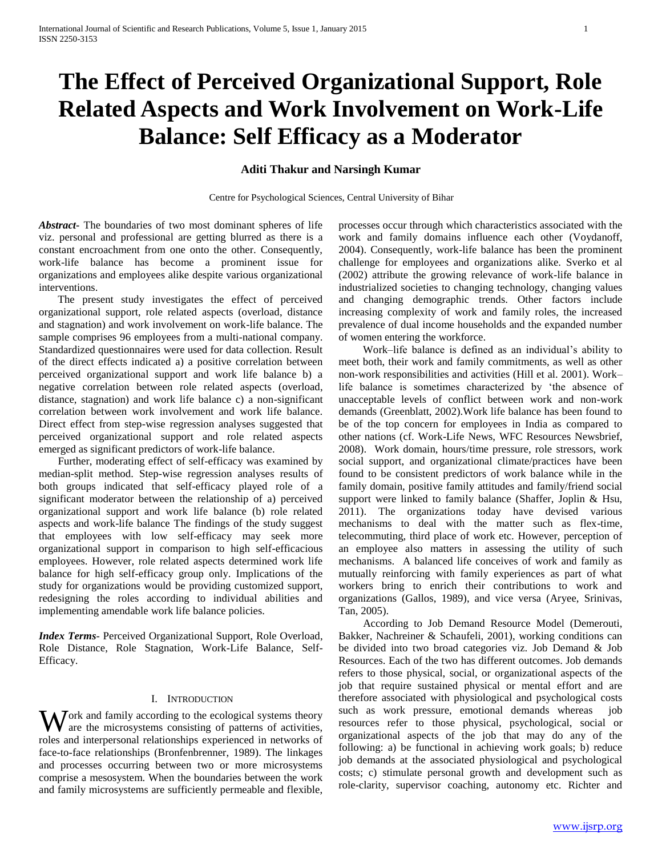# **The Effect of Perceived Organizational Support, Role Related Aspects and Work Involvement on Work-Life Balance: Self Efficacy as a Moderator**

# **Aditi Thakur and Narsingh Kumar**

Centre for Psychological Sciences, Central University of Bihar

*Abstract***-** The boundaries of two most dominant spheres of life viz. personal and professional are getting blurred as there is a constant encroachment from one onto the other. Consequently, work-life balance has become a prominent issue for organizations and employees alike despite various organizational interventions.

 The present study investigates the effect of perceived organizational support, role related aspects (overload, distance and stagnation) and work involvement on work-life balance. The sample comprises 96 employees from a multi-national company. Standardized questionnaires were used for data collection. Result of the direct effects indicated a) a positive correlation between perceived organizational support and work life balance b) a negative correlation between role related aspects (overload, distance, stagnation) and work life balance c) a non-significant correlation between work involvement and work life balance. Direct effect from step-wise regression analyses suggested that perceived organizational support and role related aspects emerged as significant predictors of work-life balance.

 Further, moderating effect of self-efficacy was examined by median-split method. Step-wise regression analyses results of both groups indicated that self-efficacy played role of a significant moderator between the relationship of a) perceived organizational support and work life balance (b) role related aspects and work-life balance The findings of the study suggest that employees with low self-efficacy may seek more organizational support in comparison to high self-efficacious employees. However, role related aspects determined work life balance for high self-efficacy group only. Implications of the study for organizations would be providing customized support, redesigning the roles according to individual abilities and implementing amendable work life balance policies.

*Index Terms*- Perceived Organizational Support, Role Overload, Role Distance, Role Stagnation, Work-Life Balance, Self-Efficacy.

#### I. INTRODUCTION

Work and family according to the ecological systems theory are the microsystems consisting of patterns of activities, are the microsystems consisting of patterns of activities, roles and interpersonal relationships experienced in networks of face-to-face relationships (Bronfenbrenner, 1989). The linkages and processes occurring between two or more microsystems comprise a mesosystem. When the boundaries between the work and family microsystems are sufficiently permeable and flexible,

processes occur through which characteristics associated with the work and family domains influence each other (Voydanoff, 2004). Consequently, work-life balance has been the prominent challenge for employees and organizations alike. Sverko et al (2002) attribute the growing relevance of work-life balance in industrialized societies to changing technology, changing values and changing demographic trends. Other factors include increasing complexity of work and family roles, the increased prevalence of dual income households and the expanded number of women entering the workforce.

 Work–life balance is defined as an individual's ability to meet both, their work and family commitments, as well as other non-work responsibilities and activities (Hill et al. 2001). Work– life balance is sometimes characterized by 'the absence of unacceptable levels of conflict between work and non-work demands (Greenblatt, 2002).Work life balance has been found to be of the top concern for employees in India as compared to other nations (cf. Work-Life News, WFC Resources Newsbrief, 2008). Work domain, hours/time pressure, role stressors, work social support, and organizational climate/practices have been found to be consistent predictors of work balance while in the family domain, positive family attitudes and family/friend social support were linked to family balance (Shaffer, Joplin & Hsu, 2011). The organizations today have devised various mechanisms to deal with the matter such as flex-time, telecommuting, third place of work etc. However, perception of an employee also matters in assessing the utility of such mechanisms. A balanced life conceives of work and family as mutually reinforcing with family experiences as part of what workers bring to enrich their contributions to work and organizations (Gallos, 1989), and vice versa (Aryee, Srinivas, Tan, 2005).

 According to Job Demand Resource Model (Demerouti, Bakker, Nachreiner & Schaufeli, 2001), working conditions can be divided into two broad categories viz. Job Demand & Job Resources. Each of the two has different outcomes. Job demands refers to those physical, social, or organizational aspects of the job that require sustained physical or mental effort and are therefore associated with physiological and psychological costs such as work pressure, emotional demands whereas job resources refer to those physical, psychological, social or organizational aspects of the job that may do any of the following: a) be functional in achieving work goals; b) reduce job demands at the associated physiological and psychological costs; c) stimulate personal growth and development such as role-clarity, supervisor coaching, autonomy etc. Richter and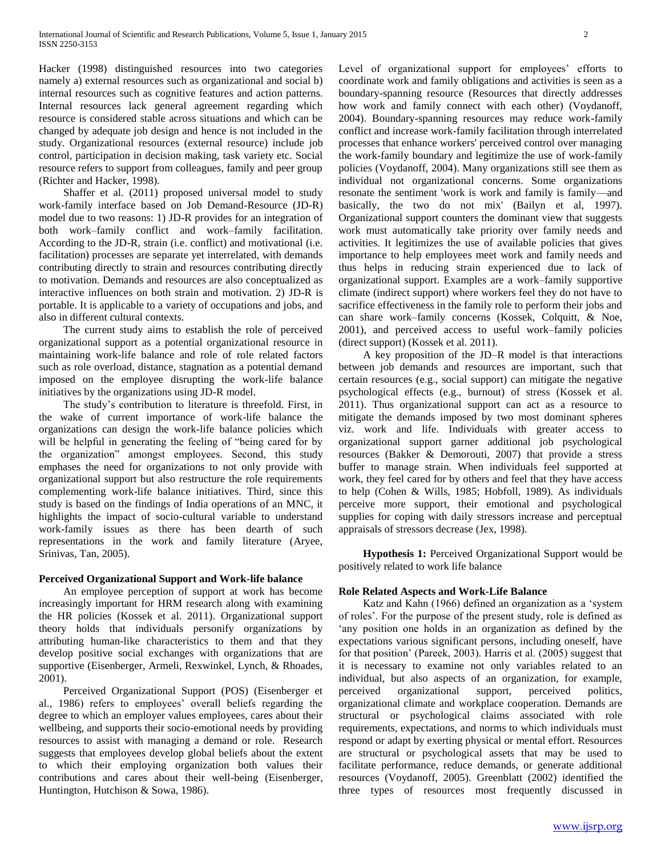Hacker (1998) distinguished resources into two categories namely a) external resources such as organizational and social b) internal resources such as cognitive features and action patterns. Internal resources lack general agreement regarding which resource is considered stable across situations and which can be changed by adequate job design and hence is not included in the study. Organizational resources (external resource) include job control, participation in decision making, task variety etc. Social resource refers to support from colleagues, family and peer group (Richter and Hacker, 1998).

 Shaffer et al. (2011) proposed universal model to study work-family interface based on Job Demand-Resource (JD-R) model due to two reasons: 1) JD-R provides for an integration of both work–family conflict and work–family facilitation. According to the JD-R, strain (i.e. conflict) and motivational (i.e. facilitation) processes are separate yet interrelated, with demands contributing directly to strain and resources contributing directly to motivation. Demands and resources are also conceptualized as interactive influences on both strain and motivation. 2) JD-R is portable. It is applicable to a variety of occupations and jobs, and also in different cultural contexts.

 The current study aims to establish the role of perceived organizational support as a potential organizational resource in maintaining work-life balance and role of role related factors such as role overload, distance, stagnation as a potential demand imposed on the employee disrupting the work-life balance initiatives by the organizations using JD-R model.

 The study's contribution to literature is threefold. First, in the wake of current importance of work-life balance the organizations can design the work-life balance policies which will be helpful in generating the feeling of "being cared for by" the organization" amongst employees. Second, this study emphases the need for organizations to not only provide with organizational support but also restructure the role requirements complementing work-life balance initiatives. Third, since this study is based on the findings of India operations of an MNC, it highlights the impact of socio-cultural variable to understand work-family issues as there has been dearth of such representations in the work and family literature (Aryee, Srinivas, Tan, 2005).

# **Perceived Organizational Support and Work-life balance**

 An employee perception of support at work has become increasingly important for HRM research along with examining the HR policies (Kossek et al. 2011). Organizational support theory holds that individuals personify organizations by attributing human-like characteristics to them and that they develop positive social exchanges with organizations that are supportive (Eisenberger, Armeli, Rexwinkel, Lynch, & Rhoades, 2001).

 Perceived Organizational Support (POS) (Eisenberger et al., 1986) refers to employees' overall beliefs regarding the degree to which an employer values employees, cares about their wellbeing, and supports their socio-emotional needs by providing resources to assist with managing a demand or role. Research suggests that employees develop global beliefs about the extent to which their employing organization both values their contributions and cares about their well-being (Eisenberger, Huntington, Hutchison & Sowa, 1986).

Level of organizational support for employees' efforts to coordinate work and family obligations and activities is seen as a boundary-spanning resource (Resources that directly addresses how work and family connect with each other) (Voydanoff, 2004). Boundary-spanning resources may reduce work-family conflict and increase work-family facilitation through interrelated processes that enhance workers' perceived control over managing the work-family boundary and legitimize the use of work-family policies (Voydanoff, 2004). Many organizations still see them as individual not organizational concerns. Some organizations resonate the sentiment 'work is work and family is family—and basically, the two do not mix' (Bailyn et al, 1997). Organizational support counters the dominant view that suggests work must automatically take priority over family needs and activities. It legitimizes the use of available policies that gives importance to help employees meet work and family needs and thus helps in reducing strain experienced due to lack of organizational support. Examples are a work–family supportive climate (indirect support) where workers feel they do not have to sacrifice effectiveness in the family role to perform their jobs and can share work–family concerns (Kossek, Colquitt, & Noe, 2001), and perceived access to useful work–family policies (direct support) (Kossek et al. 2011).

 A key proposition of the JD–R model is that interactions between job demands and resources are important, such that certain resources (e.g., social support) can mitigate the negative psychological effects (e.g., burnout) of stress (Kossek et al. 2011). Thus organizational support can act as a resource to mitigate the demands imposed by two most dominant spheres viz. work and life. Individuals with greater access to organizational support garner additional job psychological resources (Bakker & Demorouti, 2007) that provide a stress buffer to manage strain. When individuals feel supported at work, they feel cared for by others and feel that they have access to help (Cohen & Wills, 1985; Hobfoll, 1989). As individuals perceive more support, their emotional and psychological supplies for coping with daily stressors increase and perceptual appraisals of stressors decrease (Jex, 1998).

 **Hypothesis 1:** Perceived Organizational Support would be positively related to work life balance

# **Role Related Aspects and Work-Life Balance**

Katz and Kahn (1966) defined an organization as a 'system of roles'. For the purpose of the present study, role is defined as any position one holds in an organization as defined by the expectations various significant persons, including oneself, have for that position' (Pareek, 2003). Harris et al. (2005) suggest that it is necessary to examine not only variables related to an individual, but also aspects of an organization, for example, perceived organizational support, perceived politics, organizational climate and workplace cooperation. Demands are structural or psychological claims associated with role requirements, expectations, and norms to which individuals must respond or adapt by exerting physical or mental effort. Resources are structural or psychological assets that may be used to facilitate performance, reduce demands, or generate additional resources (Voydanoff, 2005). Greenblatt (2002) identified the three types of resources most frequently discussed in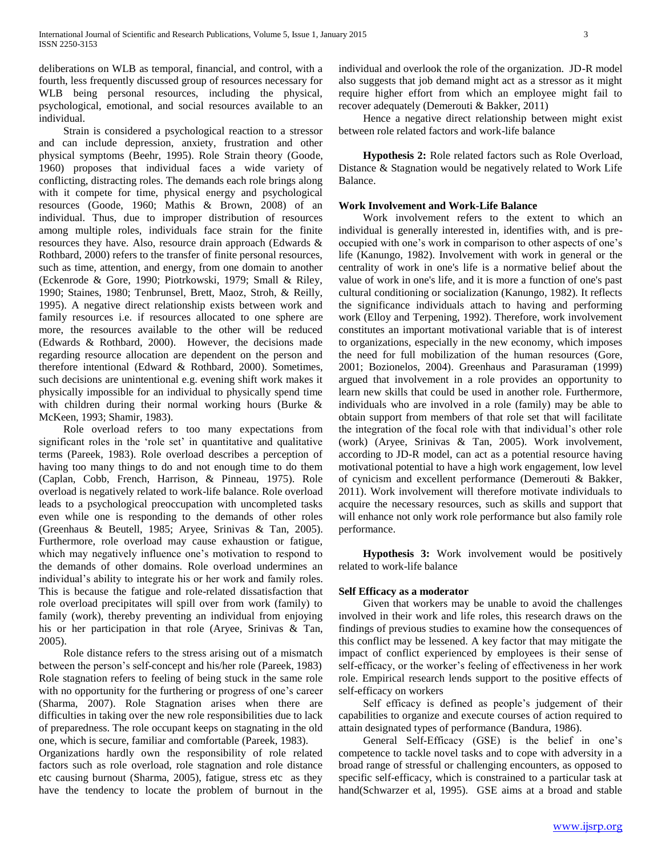deliberations on WLB as temporal, financial, and control, with a fourth, less frequently discussed group of resources necessary for WLB being personal resources, including the physical, psychological, emotional, and social resources available to an individual.

 Strain is considered a psychological reaction to a stressor and can include depression, anxiety, frustration and other physical symptoms (Beehr, 1995). Role Strain theory (Goode, 1960) proposes that individual faces a wide variety of conflicting, distracting roles. The demands each role brings along with it compete for time, physical energy and psychological resources (Goode, 1960; Mathis & Brown, 2008) of an individual. Thus, due to improper distribution of resources among multiple roles, individuals face strain for the finite resources they have. Also, resource drain approach (Edwards & Rothbard, 2000) refers to the transfer of finite personal resources, such as time, attention, and energy, from one domain to another (Eckenrode & Gore, 1990; Piotrkowski, 1979; Small & Riley, 1990; Staines, 1980; Tenbrunsel, Brett, Maoz, Stroh, & Reilly, 1995). A negative direct relationship exists between work and family resources i.e. if resources allocated to one sphere are more, the resources available to the other will be reduced (Edwards & Rothbard, 2000). However, the decisions made regarding resource allocation are dependent on the person and therefore intentional (Edward & Rothbard, 2000). Sometimes, such decisions are unintentional e.g. evening shift work makes it physically impossible for an individual to physically spend time with children during their normal working hours (Burke & McKeen, 1993; Shamir, 1983).

 Role overload refers to too many expectations from significant roles in the 'role set' in quantitative and qualitative terms (Pareek, 1983). Role overload describes a perception of having too many things to do and not enough time to do them (Caplan, Cobb, French, Harrison, & Pinneau, 1975). Role overload is negatively related to work-life balance. Role overload leads to a psychological preoccupation with uncompleted tasks even while one is responding to the demands of other roles (Greenhaus & Beutell, 1985; Aryee, Srinivas & Tan, 2005). Furthermore, role overload may cause exhaustion or fatigue, which may negatively influence one's motivation to respond to the demands of other domains. Role overload undermines an individual's ability to integrate his or her work and family roles. This is because the fatigue and role-related dissatisfaction that role overload precipitates will spill over from work (family) to family (work), thereby preventing an individual from enjoying his or her participation in that role (Aryee, Srinivas & Tan, 2005).

 Role distance refers to the stress arising out of a mismatch between the person's self-concept and his/her role (Pareek, 1983) Role stagnation refers to feeling of being stuck in the same role with no opportunity for the furthering or progress of one's career (Sharma, 2007). Role Stagnation arises when there are difficulties in taking over the new role responsibilities due to lack of preparedness. The role occupant keeps on stagnating in the old one, which is secure, familiar and comfortable (Pareek, 1983).

Organizations hardly own the responsibility of role related factors such as role overload, role stagnation and role distance etc causing burnout (Sharma, 2005), fatigue, stress etc as they have the tendency to locate the problem of burnout in the individual and overlook the role of the organization. JD-R model also suggests that job demand might act as a stressor as it might require higher effort from which an employee might fail to recover adequately (Demerouti & Bakker, 2011)

 Hence a negative direct relationship between might exist between role related factors and work-life balance

 **Hypothesis 2:** Role related factors such as Role Overload, Distance & Stagnation would be negatively related to Work Life Balance.

### **Work Involvement and Work-Life Balance**

 Work involvement refers to the extent to which an individual is generally interested in, identifies with, and is preoccupied with one's work in comparison to other aspects of one's life (Kanungo, 1982). Involvement with work in general or the centrality of work in one's life is a normative belief about the value of work in one's life, and it is more a function of one's past cultural conditioning or socialization (Kanungo, 1982). It reflects the significance individuals attach to having and performing work (Elloy and Terpening, 1992). Therefore, work involvement constitutes an important motivational variable that is of interest to organizations, especially in the new economy, which imposes the need for full mobilization of the human resources (Gore, 2001; Bozionelos, 2004). Greenhaus and Parasuraman (1999) argued that involvement in a role provides an opportunity to learn new skills that could be used in another role. Furthermore, individuals who are involved in a role (family) may be able to obtain support from members of that role set that will facilitate the integration of the focal role with that individual's other role (work) (Aryee, Srinivas & Tan, 2005). Work involvement, according to JD-R model, can act as a potential resource having motivational potential to have a high work engagement, low level of cynicism and excellent performance (Demerouti & Bakker, 2011). Work involvement will therefore motivate individuals to acquire the necessary resources, such as skills and support that will enhance not only work role performance but also family role performance.

 **Hypothesis 3:** Work involvement would be positively related to work-life balance

### **Self Efficacy as a moderator**

 Given that workers may be unable to avoid the challenges involved in their work and life roles, this research draws on the findings of previous studies to examine how the consequences of this conflict may be lessened. A key factor that may mitigate the impact of conflict experienced by employees is their sense of self-efficacy, or the worker's feeling of effectiveness in her work role. Empirical research lends support to the positive effects of self-efficacy on workers

 Self efficacy is defined as people's judgement of their capabilities to organize and execute courses of action required to attain designated types of performance (Bandura, 1986).

 General Self-Efficacy (GSE) is the belief in one's competence to tackle novel tasks and to cope with adversity in a broad range of stressful or challenging encounters, as opposed to specific self-efficacy, which is constrained to a particular task at hand(Schwarzer et al, 1995). GSE aims at a broad and stable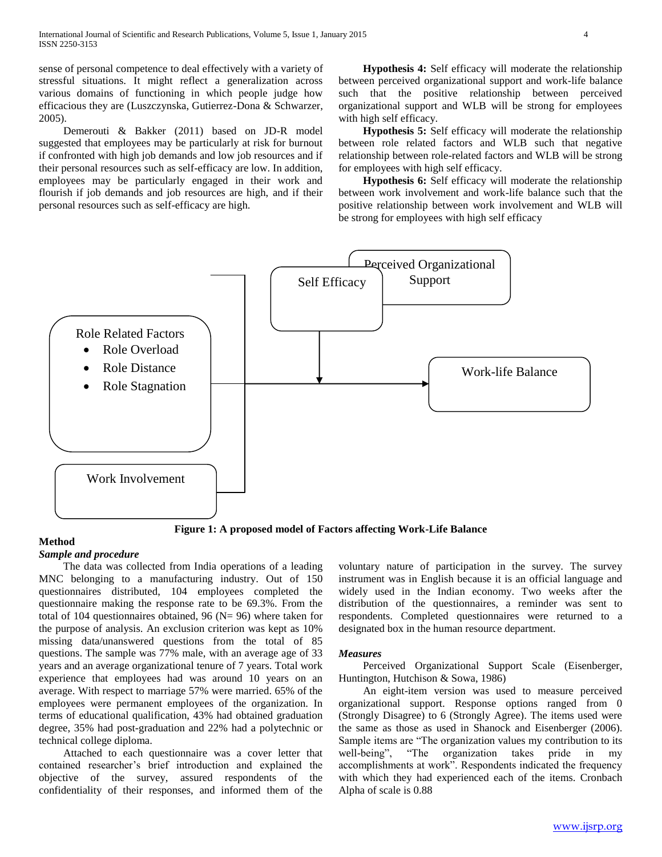sense of personal competence to deal effectively with a variety of stressful situations. It might reflect a generalization across various domains of functioning in which people judge how efficacious they are (Luszczynska, Gutierrez-Dona & Schwarzer, 2005).

 Demerouti & Bakker (2011) based on JD-R model suggested that employees may be particularly at risk for burnout if confronted with high job demands and low job resources and if their personal resources such as self-efficacy are low. In addition, employees may be particularly engaged in their work and flourish if job demands and job resources are high, and if their personal resources such as self-efficacy are high.

 **Hypothesis 4:** Self efficacy will moderate the relationship between perceived organizational support and work-life balance such that the positive relationship between perceived organizational support and WLB will be strong for employees with high self efficacy.

 **Hypothesis 5:** Self efficacy will moderate the relationship between role related factors and WLB such that negative relationship between role-related factors and WLB will be strong for employees with high self efficacy.

 **Hypothesis 6:** Self efficacy will moderate the relationship between work involvement and work-life balance such that the positive relationship between work involvement and WLB will be strong for employees with high self efficacy



**Figure 1: A proposed model of Factors affecting Work-Life Balance**

# **Method**

*Sample and procedure*

 The data was collected from India operations of a leading MNC belonging to a manufacturing industry. Out of 150 questionnaires distributed, 104 employees completed the questionnaire making the response rate to be 69.3%. From the total of 104 questionnaires obtained, 96 ( $N = 96$ ) where taken for the purpose of analysis. An exclusion criterion was kept as 10% missing data/unanswered questions from the total of 85 questions. The sample was 77% male, with an average age of 33 years and an average organizational tenure of 7 years. Total work experience that employees had was around 10 years on an average. With respect to marriage 57% were married. 65% of the employees were permanent employees of the organization. In terms of educational qualification, 43% had obtained graduation degree, 35% had post-graduation and 22% had a polytechnic or technical college diploma.

 Attached to each questionnaire was a cover letter that contained researcher's brief introduction and explained the objective of the survey, assured respondents of the confidentiality of their responses, and informed them of the voluntary nature of participation in the survey. The survey instrument was in English because it is an official language and widely used in the Indian economy. Two weeks after the distribution of the questionnaires, a reminder was sent to respondents. Completed questionnaires were returned to a designated box in the human resource department.

#### *Measures*

 Perceived Organizational Support Scale (Eisenberger, Huntington, Hutchison & Sowa, 1986)

 An eight-item version was used to measure perceived organizational support. Response options ranged from 0 (Strongly Disagree) to 6 (Strongly Agree). The items used were the same as those as used in Shanock and Eisenberger (2006). Sample items are "The organization values my contribution to its well-being", "The organization takes pride in my accomplishments at work". Respondents indicated the frequency with which they had experienced each of the items. Cronbach Alpha of scale is 0.88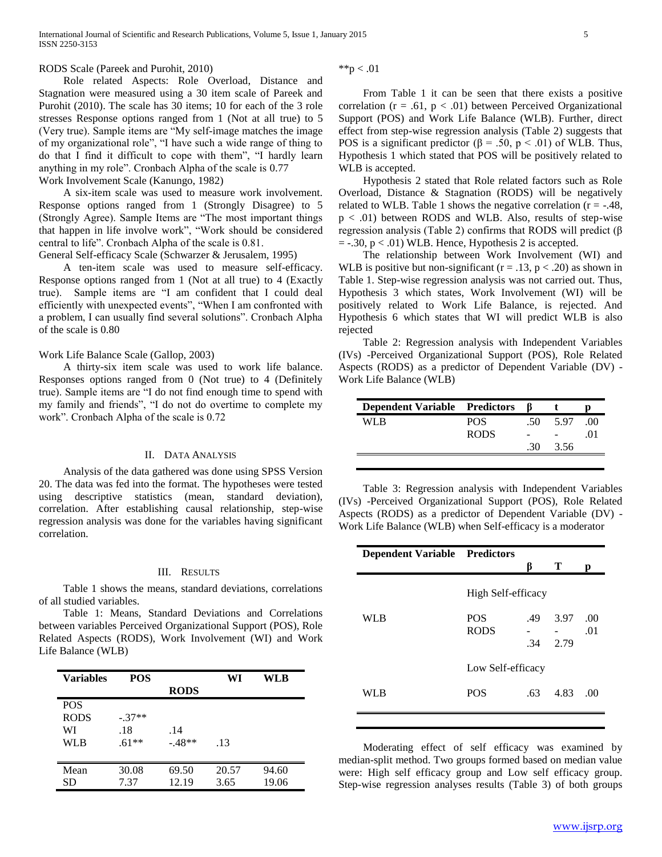# RODS Scale (Pareek and Purohit, 2010)

 Role related Aspects: Role Overload, Distance and Stagnation were measured using a 30 item scale of Pareek and Purohit (2010). The scale has 30 items; 10 for each of the 3 role stresses Response options ranged from 1 (Not at all true) to 5 (Very true). Sample items are "My self-image matches the image of my organizational role", "I have such a wide range of thing to do that I find it difficult to cope with them", "I hardly learn anything in my role". Cronbach Alpha of the scale is  $0.77$ Work Involvement Scale (Kanungo, 1982)

 A six-item scale was used to measure work involvement. Response options ranged from 1 (Strongly Disagree) to 5 (Strongly Agree). Sample Items are "The most important things that happen in life involve work", "Work should be considered central to life". Cronbach Alpha of the scale is 0.81.

General Self-efficacy Scale (Schwarzer & Jerusalem, 1995)

 A ten-item scale was used to measure self-efficacy. Response options ranged from 1 (Not at all true) to 4 (Exactly true). Sample items are "I am confident that I could deal efficiently with unexpected events", "When I am confronted with a problem, I can usually find several solutions". Cronbach Alpha of the scale is 0.80

#### Work Life Balance Scale (Gallop, 2003)

 A thirty-six item scale was used to work life balance. Responses options ranged from 0 (Not true) to 4 (Definitely true). Sample items are "I do not find enough time to spend with my family and friends", "I do not do overtime to complete my work". Cronbach Alpha of the scale is 0.72

# II. DATA ANALYSIS

 Analysis of the data gathered was done using SPSS Version 20. The data was fed into the format. The hypotheses were tested using descriptive statistics (mean, standard deviation), correlation. After establishing causal relationship, step-wise regression analysis was done for the variables having significant correlation.

#### III. RESULTS

 Table 1 shows the means, standard deviations, correlations of all studied variables.

 Table 1: Means, Standard Deviations and Correlations between variables Perceived Organizational Support (POS), Role Related Aspects (RODS), Work Involvement (WI) and Work Life Balance (WLB)

| <b>Variables</b> | <b>POS</b> |             | WI    | WLB   |
|------------------|------------|-------------|-------|-------|
|                  |            | <b>RODS</b> |       |       |
| <b>POS</b>       |            |             |       |       |
| <b>RODS</b>      | $-.37**$   |             |       |       |
| WI               | .18        | .14         |       |       |
| <b>WLB</b>       | $.61**$    | $-48**$     | .13   |       |
|                  |            |             |       |       |
| Mean             | 30.08      | 69.50       | 20.57 | 94.60 |
| SD               | 7.37       | 12.19       | 3.65  | 19.06 |

\*\*p  $< .01$ 

 From Table 1 it can be seen that there exists a positive correlation ( $r = .61$ ,  $p < .01$ ) between Perceived Organizational Support (POS) and Work Life Balance (WLB). Further, direct effect from step-wise regression analysis (Table 2) suggests that POS is a significant predictor ( $\beta$  = .50, p < .01) of WLB. Thus, Hypothesis 1 which stated that POS will be positively related to WLB is accepted.

 Hypothesis 2 stated that Role related factors such as Role Overload, Distance & Stagnation (RODS) will be negatively related to WLB. Table 1 shows the negative correlation  $(r = -.48, ...)$  $p < .01$ ) between RODS and WLB. Also, results of step-wise regression analysis (Table 2) confirms that RODS will predict (β  $=$  -.30,  $p < .01$ ) WLB. Hence, Hypothesis 2 is accepted.

 The relationship between Work Involvement (WI) and WLB is positive but non-significant ( $r = .13$ ,  $p < .20$ ) as shown in Table 1. Step-wise regression analysis was not carried out. Thus, Hypothesis 3 which states, Work Involvement (WI) will be positively related to Work Life Balance, is rejected. And Hypothesis 6 which states that WI will predict WLB is also rejected

 Table 2: Regression analysis with Independent Variables (IVs) -Perceived Organizational Support (POS), Role Related Aspects (RODS) as a predictor of Dependent Variable (DV) - Work Life Balance (WLB)

| <b>Dependent Variable Predictors</b> |             |     |      |            |
|--------------------------------------|-------------|-----|------|------------|
| WI R                                 | <b>POS</b>  | .50 | 5.97 | $($ $)($   |
|                                      | <b>RODS</b> |     |      | $\Omega$ 1 |
|                                      |             | -30 | 3.56 |            |
|                                      |             |     |      |            |

 Table 3: Regression analysis with Independent Variables (IVs) -Perceived Organizational Support (POS), Role Related Aspects (RODS) as a predictor of Dependent Variable (DV) - Work Life Balance (WLB) when Self-efficacy is a moderator

| <b>Dependent Variable Predictors</b> |                           |            | Т            | р          |
|--------------------------------------|---------------------------|------------|--------------|------------|
|                                      | High Self-efficacy        |            |              |            |
| WLB                                  | <b>POS</b><br><b>RODS</b> | .49<br>.34 | 3.97<br>2.79 | .00<br>.01 |
|                                      | Low Self-efficacy         |            |              |            |
| WLB                                  | <b>POS</b>                | .63        | 4.83         | .00        |
|                                      |                           |            |              |            |

 Moderating effect of self efficacy was examined by median-split method. Two groups formed based on median value were: High self efficacy group and Low self efficacy group. Step-wise regression analyses results (Table 3) of both groups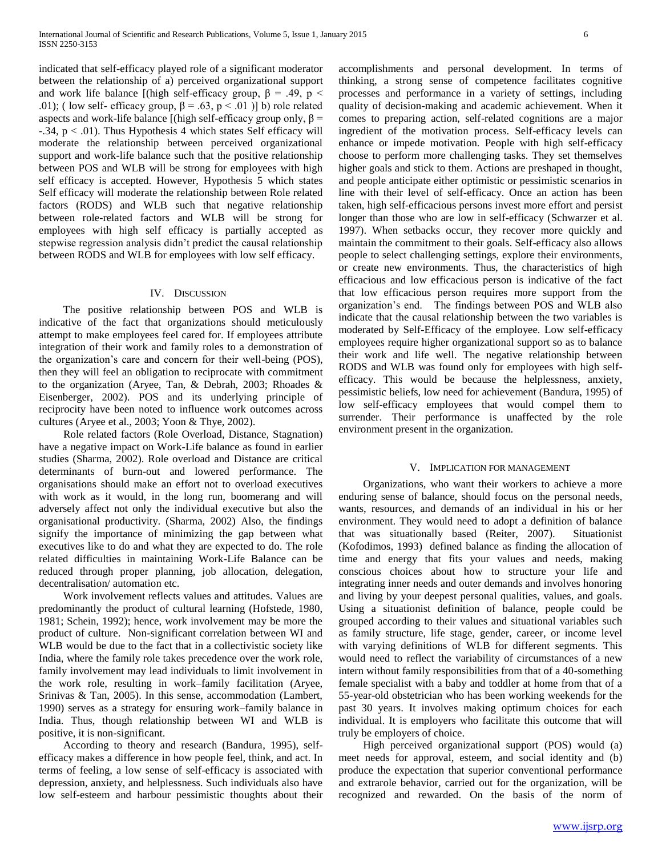indicated that self-efficacy played role of a significant moderator between the relationship of a) perceived organizational support and work life balance [(high self-efficacy group,  $\beta$  = .49, p < .01); ( low self- efficacy group,  $\beta = .63$ ,  $p < .01$  )] b) role related aspects and work-life balance [(high self-efficacy group only,  $β =$  $-34$ ,  $p < .01$ ). Thus Hypothesis 4 which states Self efficacy will moderate the relationship between perceived organizational support and work-life balance such that the positive relationship between POS and WLB will be strong for employees with high self efficacy is accepted. However, Hypothesis 5 which states Self efficacy will moderate the relationship between Role related factors (RODS) and WLB such that negative relationship between role-related factors and WLB will be strong for employees with high self efficacy is partially accepted as stepwise regression analysis didn't predict the causal relationship between RODS and WLB for employees with low self efficacy.

#### IV. DISCUSSION

 The positive relationship between POS and WLB is indicative of the fact that organizations should meticulously attempt to make employees feel cared for. If employees attribute integration of their work and family roles to a demonstration of the organization's care and concern for their well-being (POS), then they will feel an obligation to reciprocate with commitment to the organization (Aryee, Tan, & Debrah, 2003; Rhoades & Eisenberger, 2002). POS and its underlying principle of reciprocity have been noted to influence work outcomes across cultures (Aryee et al., 2003; Yoon & Thye, 2002).

 Role related factors (Role Overload, Distance, Stagnation) have a negative impact on Work-Life balance as found in earlier studies (Sharma, 2002). Role overload and Distance are critical determinants of burn-out and lowered performance. The organisations should make an effort not to overload executives with work as it would, in the long run, boomerang and will adversely affect not only the individual executive but also the organisational productivity. (Sharma, 2002) Also, the findings signify the importance of minimizing the gap between what executives like to do and what they are expected to do. The role related difficulties in maintaining Work-Life Balance can be reduced through proper planning, job allocation, delegation, decentralisation/ automation etc.

 Work involvement reflects values and attitudes. Values are predominantly the product of cultural learning (Hofstede, 1980, 1981; Schein, 1992); hence, work involvement may be more the product of culture. Non-significant correlation between WI and WLB would be due to the fact that in a collectivistic society like India, where the family role takes precedence over the work role, family involvement may lead individuals to limit involvement in the work role, resulting in work–family facilitation (Aryee, Srinivas & Tan, 2005). In this sense, accommodation (Lambert, 1990) serves as a strategy for ensuring work–family balance in India. Thus, though relationship between WI and WLB is positive, it is non-significant.

 According to theory and research (Bandura, 1995), selfefficacy makes a difference in how people feel, think, and act. In terms of feeling, a low sense of self-efficacy is associated with depression, anxiety, and helplessness. Such individuals also have low self-esteem and harbour pessimistic thoughts about their accomplishments and personal development. In terms of thinking, a strong sense of competence facilitates cognitive processes and performance in a variety of settings, including quality of decision-making and academic achievement. When it comes to preparing action, self-related cognitions are a major ingredient of the motivation process. Self-efficacy levels can enhance or impede motivation. People with high self-efficacy choose to perform more challenging tasks. They set themselves higher goals and stick to them. Actions are preshaped in thought, and people anticipate either optimistic or pessimistic scenarios in line with their level of self-efficacy. Once an action has been taken, high self-efficacious persons invest more effort and persist longer than those who are low in self-efficacy (Schwarzer et al. 1997). When setbacks occur, they recover more quickly and maintain the commitment to their goals. Self-efficacy also allows people to select challenging settings, explore their environments, or create new environments. Thus, the characteristics of high efficacious and low efficacious person is indicative of the fact that low efficacious person requires more support from the organization's end. The findings between POS and WLB also indicate that the causal relationship between the two variables is moderated by Self-Efficacy of the employee. Low self-efficacy employees require higher organizational support so as to balance their work and life well. The negative relationship between RODS and WLB was found only for employees with high selfefficacy. This would be because the helplessness, anxiety, pessimistic beliefs, low need for achievement (Bandura, 1995) of low self-efficacy employees that would compel them to surrender. Their performance is unaffected by the role environment present in the organization.

#### V. IMPLICATION FOR MANAGEMENT

 Organizations, who want their workers to achieve a more enduring sense of balance, should focus on the personal needs, wants, resources, and demands of an individual in his or her environment. They would need to adopt a definition of balance that was situationally based (Reiter, 2007). Situationist (Kofodimos, 1993) defined balance as finding the allocation of time and energy that fits your values and needs, making conscious choices about how to structure your life and integrating inner needs and outer demands and involves honoring and living by your deepest personal qualities, values, and goals. Using a situationist definition of balance, people could be grouped according to their values and situational variables such as family structure, life stage, gender, career, or income level with varying definitions of WLB for different segments. This would need to reflect the variability of circumstances of a new intern without family responsibilities from that of a 40-something female specialist with a baby and toddler at home from that of a 55-year-old obstetrician who has been working weekends for the past 30 years. It involves making optimum choices for each individual. It is employers who facilitate this outcome that will truly be employers of choice.

 High perceived organizational support (POS) would (a) meet needs for approval, esteem, and social identity and (b) produce the expectation that superior conventional performance and extrarole behavior, carried out for the organization, will be recognized and rewarded. On the basis of the norm of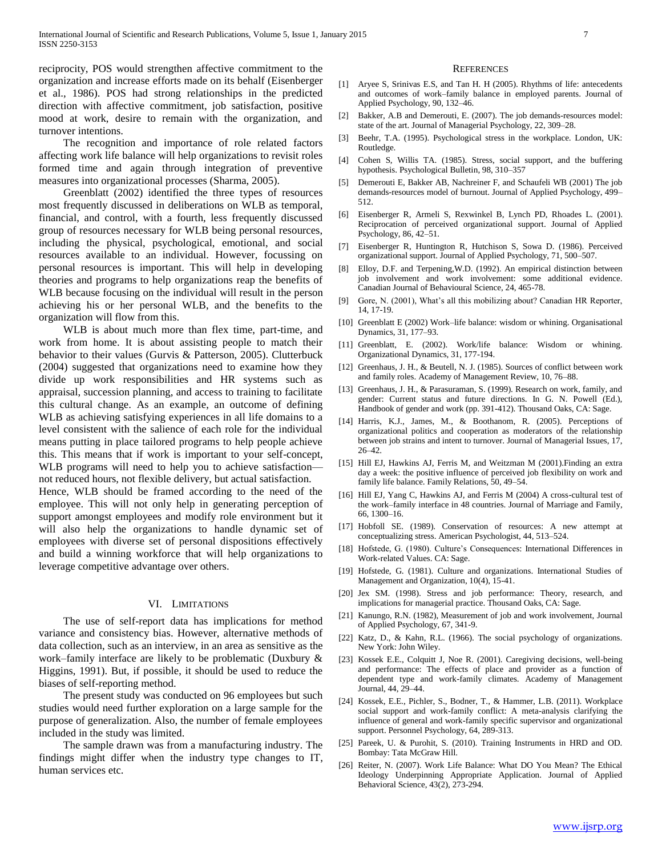reciprocity, POS would strengthen affective commitment to the organization and increase efforts made on its behalf (Eisenberger et al., 1986). POS had strong relationships in the predicted direction with affective commitment, job satisfaction, positive mood at work, desire to remain with the organization, and turnover intentions.

 The recognition and importance of role related factors affecting work life balance will help organizations to revisit roles formed time and again through integration of preventive measures into organizational processes (Sharma, 2005).

 Greenblatt (2002) identified the three types of resources most frequently discussed in deliberations on WLB as temporal, financial, and control, with a fourth, less frequently discussed group of resources necessary for WLB being personal resources, including the physical, psychological, emotional, and social resources available to an individual. However, focussing on personal resources is important. This will help in developing theories and programs to help organizations reap the benefits of WLB because focusing on the individual will result in the person achieving his or her personal WLB, and the benefits to the organization will flow from this.

 WLB is about much more than flex time, part-time, and work from home. It is about assisting people to match their behavior to their values (Gurvis & Patterson, 2005). Clutterbuck (2004) suggested that organizations need to examine how they divide up work responsibilities and HR systems such as appraisal, succession planning, and access to training to facilitate this cultural change. As an example, an outcome of defining WLB as achieving satisfying experiences in all life domains to a level consistent with the salience of each role for the individual means putting in place tailored programs to help people achieve this. This means that if work is important to your self-concept, WLB programs will need to help you to achieve satisfaction– not reduced hours, not flexible delivery, but actual satisfaction. Hence, WLB should be framed according to the need of the employee. This will not only help in generating perception of support amongst employees and modify role environment but it will also help the organizations to handle dynamic set of employees with diverse set of personal dispositions effectively and build a winning workforce that will help organizations to leverage competitive advantage over others.

# VI. LIMITATIONS

 The use of self-report data has implications for method variance and consistency bias. However, alternative methods of data collection, such as an interview, in an area as sensitive as the work–family interface are likely to be problematic (Duxbury & Higgins, 1991). But, if possible, it should be used to reduce the biases of self-reporting method.

 The present study was conducted on 96 employees but such studies would need further exploration on a large sample for the purpose of generalization. Also, the number of female employees included in the study was limited.

 The sample drawn was from a manufacturing industry. The findings might differ when the industry type changes to IT, human services etc.

#### **REFERENCES**

- [1] Aryee S, Srinivas E.S, and Tan H. H (2005). Rhythms of life: antecedents and outcomes of work–family balance in employed parents. Journal of Applied Psychology, 90, 132–46.
- [2] Bakker, A.B and Demerouti, E. (2007). The job demands-resources model: state of the art. Journal of Managerial Psychology, 22, 309–28.
- [3] Beehr, T.A. (1995). Psychological stress in the workplace. London, UK: Routledge.
- [4] Cohen S, Willis TA. (1985). Stress, social support, and the buffering hypothesis. Psychological Bulletin, 98, 310–357
- [5] Demerouti E, Bakker AB, Nachreiner F, and Schaufeli WB (2001) The job demands-resources model of burnout. Journal of Applied Psychology, 499– 512.
- [6] Eisenberger R, Armeli S, Rexwinkel B, Lynch PD, Rhoades L. (2001). Reciprocation of perceived organizational support. Journal of Applied Psychology, 86, 42–51.
- [7] Eisenberger R, Huntington R, Hutchison S, Sowa D. (1986). Perceived organizational support. Journal of Applied Psychology, 71, 500–507.
- [8] Elloy, D.F. and Terpening,W.D. (1992). An empirical distinction between job involvement and work involvement: some additional evidence. Canadian Journal of Behavioural Science, 24, 465-78.
- [9] Gore, N. (2001), What's all this mobilizing about? Canadian HR Reporter, 14, 17-19.
- [10] Greenblatt E (2002) Work–life balance: wisdom or whining. Organisational Dynamics, 31, 177–93.
- [11] Greenblatt, E. (2002). Work/life balance: Wisdom or whining. Organizational Dynamics, 31, 177-194.
- [12] Greenhaus, J. H., & Beutell, N. J. (1985). Sources of conflict between work and family roles. Academy of Management Review, 10, 76–88.
- [13] Greenhaus, J. H., & Parasuraman, S. (1999). Research on work, family, and gender: Current status and future directions. In G. N. Powell (Ed.), Handbook of gender and work (pp. 391-412). Thousand Oaks, CA: Sage.
- [14] Harris, K.J., James, M., & Boothanom, R. (2005). Perceptions of organizational politics and cooperation as moderators of the relationship between job strains and intent to turnover. Journal of Managerial Issues, 17, 26–42.
- [15] Hill EJ, Hawkins AJ, Ferris M, and Weitzman M (2001). Finding an extra day a week: the positive influence of perceived job flexibility on work and family life balance. Family Relations, 50, 49–54.
- [16] Hill EJ, Yang C, Hawkins AJ, and Ferris M (2004) A cross-cultural test of the work–family interface in 48 countries. Journal of Marriage and Family, 66, 1300–16.
- [17] Hobfoll SE. (1989). Conservation of resources: A new attempt at conceptualizing stress. American Psychologist, 44, 513–524.
- [18] Hofstede, G. (1980). Culture's Consequences: International Differences in Work-related Values. CA: Sage.
- [19] Hofstede, G. (1981). Culture and organizations. International Studies of Management and Organization, 10(4), 15-41.
- [20] Jex SM. (1998). Stress and job performance: Theory, research, and implications for managerial practice. Thousand Oaks, CA: Sage.
- [21] Kanungo, R.N. (1982), Measurement of job and work involvement, Journal of Applied Psychology, 67, 341-9.
- [22] Katz, D., & Kahn, R.L. (1966). The social psychology of organizations. New York: John Wiley.
- [23] Kossek E.E., Colquitt J, Noe R. (2001). Caregiving decisions, well-being and performance: The effects of place and provider as a function of dependent type and work-family climates. Academy of Management Journal, 44, 29–44.
- [24] Kossek, E.E., Pichler, S., Bodner, T., & Hammer, L.B. (2011). Workplace social support and work-family conflict: A meta-analysis clarifying the influence of general and work-family specific supervisor and organizational support. Personnel Psychology, 64, 289-313.
- [25] Pareek, U. & Purohit, S. (2010). Training Instruments in HRD and OD. Bombay: Tata McGraw Hill.
- [26] Reiter, N. (2007). Work Life Balance: What DO You Mean? The Ethical Ideology Underpinning Appropriate Application. Journal of Applied Behavioral Science, 43(2), 273-294.